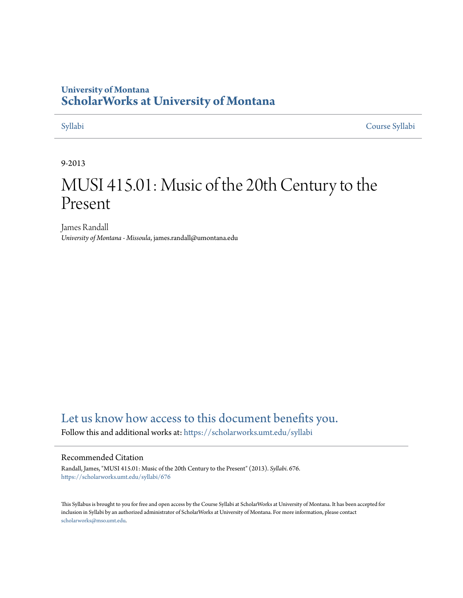## **University of Montana [ScholarWorks at University of Montana](https://scholarworks.umt.edu?utm_source=scholarworks.umt.edu%2Fsyllabi%2F676&utm_medium=PDF&utm_campaign=PDFCoverPages)**

[Syllabi](https://scholarworks.umt.edu/syllabi?utm_source=scholarworks.umt.edu%2Fsyllabi%2F676&utm_medium=PDF&utm_campaign=PDFCoverPages) [Course Syllabi](https://scholarworks.umt.edu/course_syllabi?utm_source=scholarworks.umt.edu%2Fsyllabi%2F676&utm_medium=PDF&utm_campaign=PDFCoverPages)

### 9-2013

# MUSI 415.01: Music of the 20th Century to the Present

James Randall *University of Montana - Missoula*, james.randall@umontana.edu

# [Let us know how access to this document benefits you.](https://goo.gl/forms/s2rGfXOLzz71qgsB2)

Follow this and additional works at: [https://scholarworks.umt.edu/syllabi](https://scholarworks.umt.edu/syllabi?utm_source=scholarworks.umt.edu%2Fsyllabi%2F676&utm_medium=PDF&utm_campaign=PDFCoverPages)

#### Recommended Citation

Randall, James, "MUSI 415.01: Music of the 20th Century to the Present" (2013). *Syllabi*. 676. [https://scholarworks.umt.edu/syllabi/676](https://scholarworks.umt.edu/syllabi/676?utm_source=scholarworks.umt.edu%2Fsyllabi%2F676&utm_medium=PDF&utm_campaign=PDFCoverPages)

This Syllabus is brought to you for free and open access by the Course Syllabi at ScholarWorks at University of Montana. It has been accepted for inclusion in Syllabi by an authorized administrator of ScholarWorks at University of Montana. For more information, please contact [scholarworks@mso.umt.edu](mailto:scholarworks@mso.umt.edu).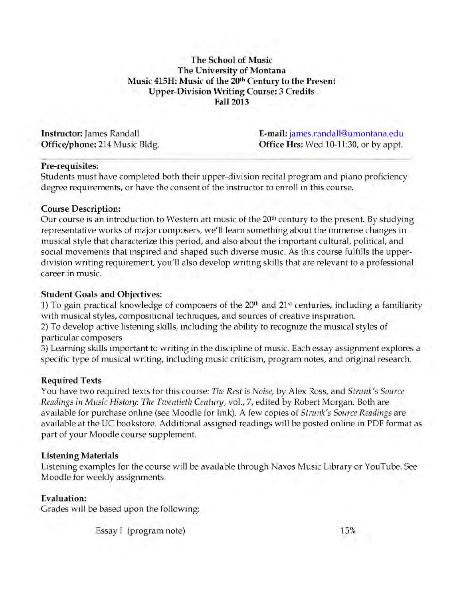### **The School of Music The University of Montana Music 415H: Music of the 20th Century to the Present Upper-Division Writing Course: 3 Credits Fall 2013**

**Instructor:** James Randall **Office/phone:** 214 Music Bldg. **E-mail:** james.randall@umontana.edu **Office Hrs:** Wed 10-11:30, or by appt.

#### **Pre-requisites:**

Students must have completed both their upper-division recital program and piano proficiency degree requirements, or have the consent of the instructor to enroll in this course.

#### **Course Description:**

Our course is an introduction to Western art music of the 20th century to the present. By studying representative works of major composers, we'll learn something about the immense changes in musical style that characterize this period, and also about the important cultural, political, and social movements that inspired and shaped such diverse music. As this course fulfills the upperdivision writing requirement, you'll also develop writing skills that are relevant to a professional career in music.

### **Student Goals and Objectives:**

1) To gain practical knowledge of composers of the 20<sup>th</sup> and 21<sup>st</sup> centuries, including a familiarity with musical styles, compositional techniques, and sources of creative inspiration.

2) To develop active listening skills, including the ability to recognize the musical styles of particular composers

3) Learning skills important to writing in the discipline of music. Each essay assignment explores a specific type of musical writing, including music criticism, program notes, and original research.

#### **Required Texts**

You have two required texts for this course: *The Rest is Noise,* by Alex Ross, and *Strunk's Source Readings in Music History: The Twentieth Century,* vol., 7, edited by Robert Morgan. Both are available for purchase online (see Moodle for link). A few copies of *Strunk's Source Readings* are available at the UC bookstore. Additional assigned readings will be posted online in PDF format as part of your Moodle course supplement.

#### **Listening Materials**

Listening examples for the course will be available through Naxos Music Library or YouTube. See Moodle for weekly assignments.

#### **Evaluation:**

Grades will be based upon the following:

Essay I (program note) 15%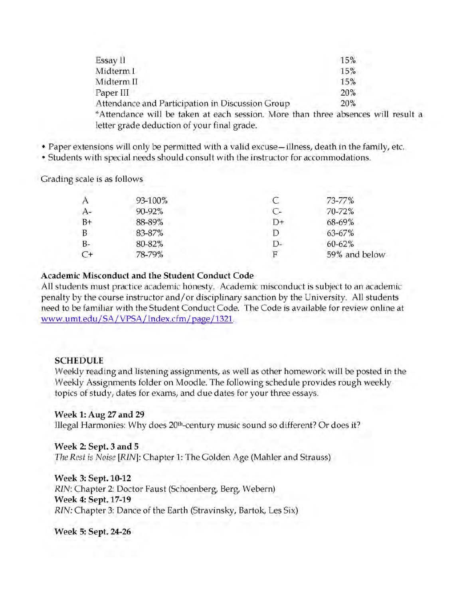| Essay II                                                                          | 15% |
|-----------------------------------------------------------------------------------|-----|
| Midterm I                                                                         | 15% |
| Midterm II                                                                        | 15% |
| Paper III                                                                         | 20% |
| Attendance and Participation in Discussion Group                                  | 20% |
| *Attendance will be taken at each session. More than three absences will result a |     |
| letter grade deduction of your final grade.                                       |     |

• Paper extensions will only be permitted with a valid excuse —illness, death in the family, etc.

• Students with special needs should consult with the instructor for accommodations.

Grading scale is as follows

|      | 93-100% |      | 73-77%        |
|------|---------|------|---------------|
| $A-$ | 90-92%  | $C-$ | 70-72%        |
| $B+$ | 88-89%  | $D+$ | 68-69%        |
| B    | 83-87%  |      | 63-67%        |
| $B-$ | 80-82%  | D-   | $60 - 62%$    |
| $C+$ | 78-79%  |      | 59% and below |
|      |         |      |               |

#### **Academic Misconduct and the Student Conduct Code**

All students must practice academic honesty. Academic misconduct is subject to an academic penalty by the course instructor and/or disciplinary sanction by the University. All students need to be familiar with the Student Conduct Code. The Code is available for review online at www.umt.edu/SA/VPSA/Index.cfm/page/1321.

#### **SCHEDULE**

Weekly reading and listening assignments, as well as other homework will be posted in the Weekly Assignments folder on Moodle. The following schedule provides rough weekly topics of study, dates for exams, and due dates for your three essays.

#### **Week 1: Aug 27 and 29**

Illegal Harmonies: Why does 20<sup>th</sup>-century music sound so different? Or does it?

#### **Week 2: Sept. 3 and 5**

*The Rest is Noise [RIN*]: Chapter 1: The Golden Age (Mahler and Strauss)

**Week 3: Sept. 10-12**

*RIN:* Chapter 2: Doctor Faust (Schoenberg, Berg, Webern) **Week 4: Sept. 17-19** *RIN:* Chapter 3: Dance of the Earth (Stravinsky, Bartok, Les Six)

**Week 5: Sept. 24-26**